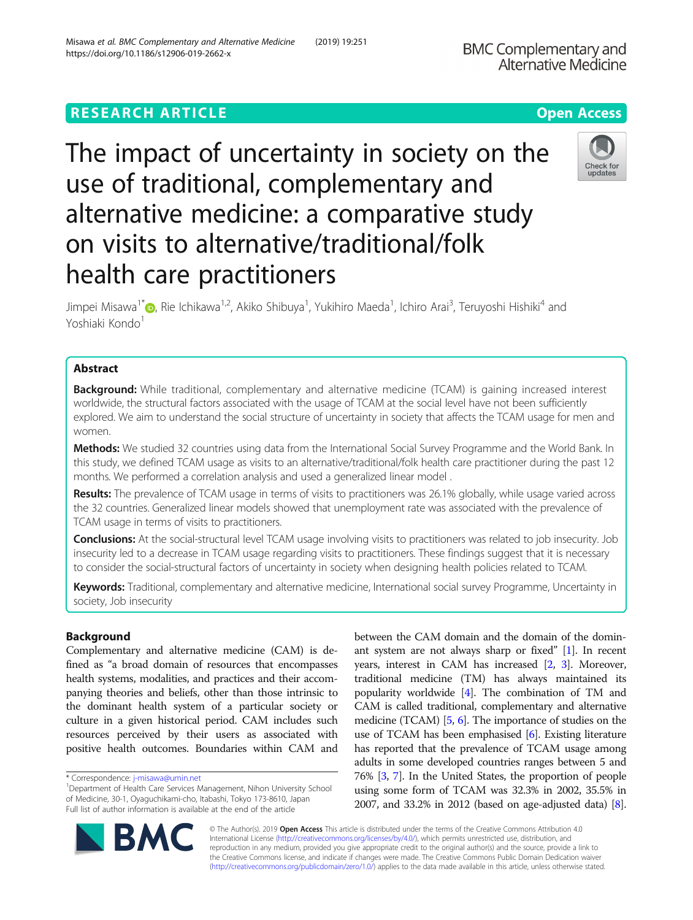## **RESEARCH ARTICLE Example 2014 12:30 The Contract of Contract ACCESS**

The impact of uncertainty in society on the use of traditional, complementary and alternative medicine: a comparative study on visits to alternative/traditional/folk health care practitioners

Jimpei Misawa<sup>1\*</sup>®, Rie Ichikawa<sup>1,2</sup>, Akiko Shibuya<sup>1</sup>, Yukihiro Maeda<sup>1</sup>, Ichiro Arai<sup>3</sup>, Teruyoshi Hishiki<sup>4</sup> and Yoshiaki Kondo<sup>1</sup>

## Abstract

**Background:** While traditional, complementary and alternative medicine (TCAM) is gaining increased interest worldwide, the structural factors associated with the usage of TCAM at the social level have not been sufficiently explored. We aim to understand the social structure of uncertainty in society that affects the TCAM usage for men and women.

Methods: We studied 32 countries using data from the International Social Survey Programme and the World Bank. In this study, we defined TCAM usage as visits to an alternative/traditional/folk health care practitioner during the past 12 months. We performed a correlation analysis and used a generalized linear model .

Results: The prevalence of TCAM usage in terms of visits to practitioners was 26.1% globally, while usage varied across the 32 countries. Generalized linear models showed that unemployment rate was associated with the prevalence of TCAM usage in terms of visits to practitioners.

Conclusions: At the social-structural level TCAM usage involving visits to practitioners was related to job insecurity. Job insecurity led to a decrease in TCAM usage regarding visits to practitioners. These findings suggest that it is necessary to consider the social-structural factors of uncertainty in society when designing health policies related to TCAM.

Keywords: Traditional, complementary and alternative medicine, International social survey Programme, Uncertainty in society, Job insecurity

## Background

Complementary and alternative medicine (CAM) is defined as "a broad domain of resources that encompasses health systems, modalities, and practices and their accompanying theories and beliefs, other than those intrinsic to the dominant health system of a particular society or culture in a given historical period. CAM includes such resources perceived by their users as associated with positive health outcomes. Boundaries within CAM and

\* Correspondence: [j-misawa@umin.net](mailto:j-misawa@umin.net) <sup>1</sup>

ant system are not always sharp or fixed" [[1](#page-11-0)]. In recent years, interest in CAM has increased [[2](#page-11-0), [3](#page-11-0)]. Moreover, traditional medicine (TM) has always maintained its popularity worldwide [\[4](#page-11-0)]. The combination of TM and CAM is called traditional, complementary and alternative medicine (TCAM) [\[5,](#page-11-0) [6](#page-11-0)]. The importance of studies on the use of TCAM has been emphasised [[6\]](#page-11-0). Existing literature has reported that the prevalence of TCAM usage among adults in some developed countries ranges between 5 and 76% [[3](#page-11-0), [7\]](#page-11-0). In the United States, the proportion of people using some form of TCAM was 32.3% in 2002, 35.5% in 2007, and 33.2% in 2012 (based on age-adjusted data) [[8](#page-11-0)].

between the CAM domain and the domain of the domin-

© The Author(s). 2019 **Open Access** This article is distributed under the terms of the Creative Commons Attribution 4.0 International License [\(http://creativecommons.org/licenses/by/4.0/](http://creativecommons.org/licenses/by/4.0/)), which permits unrestricted use, distribution, and reproduction in any medium, provided you give appropriate credit to the original author(s) and the source, provide a link to the Creative Commons license, and indicate if changes were made. The Creative Commons Public Domain Dedication waiver [\(http://creativecommons.org/publicdomain/zero/1.0/](http://creativecommons.org/publicdomain/zero/1.0/)) applies to the data made available in this article, unless otherwise stated.







undates

Department of Health Care Services Management, Nihon University School of Medicine, 30-1, Oyaguchikami-cho, Itabashi, Tokyo 173-8610, Japan Full list of author information is available at the end of the article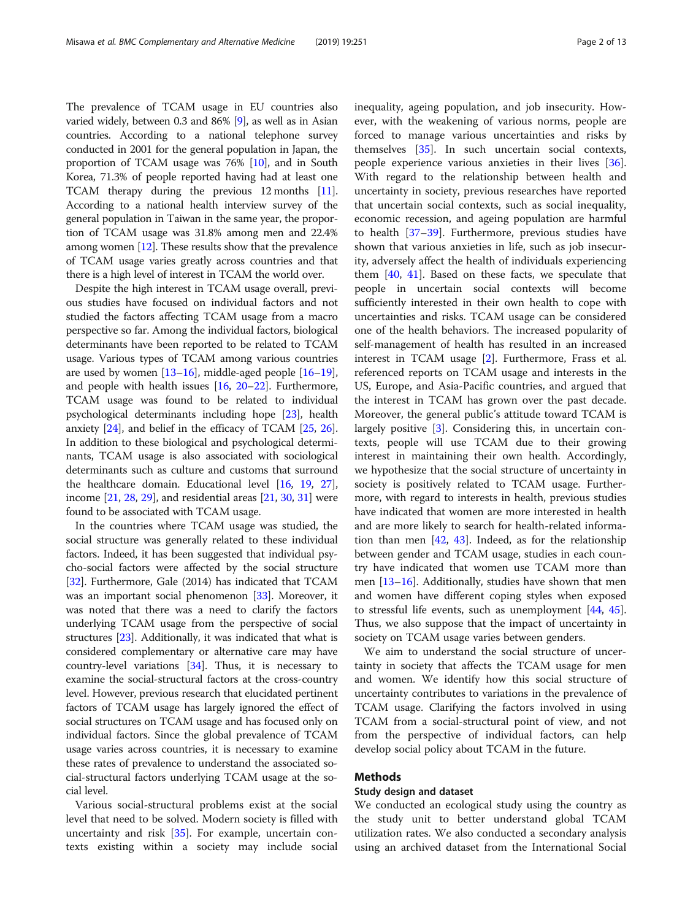The prevalence of TCAM usage in EU countries also varied widely, between 0.3 and 86% [\[9\]](#page-11-0), as well as in Asian countries. According to a national telephone survey conducted in 2001 for the general population in Japan, the proportion of TCAM usage was 76% [\[10\]](#page-11-0), and in South Korea, 71.3% of people reported having had at least one TCAM therapy during the previous 12 months [[11](#page-11-0)]. According to a national health interview survey of the general population in Taiwan in the same year, the proportion of TCAM usage was 31.8% among men and 22.4% among women [\[12\]](#page-12-0). These results show that the prevalence of TCAM usage varies greatly across countries and that there is a high level of interest in TCAM the world over.

Despite the high interest in TCAM usage overall, previous studies have focused on individual factors and not studied the factors affecting TCAM usage from a macro perspective so far. Among the individual factors, biological determinants have been reported to be related to TCAM usage. Various types of TCAM among various countries are used by women  $[13–16]$  $[13–16]$  $[13–16]$  $[13–16]$ , middle-aged people  $[16–19]$  $[16–19]$  $[16–19]$  $[16–19]$ , and people with health issues [\[16,](#page-12-0) [20](#page-12-0)–[22](#page-12-0)]. Furthermore, TCAM usage was found to be related to individual psychological determinants including hope [\[23](#page-12-0)], health anxiety [[24](#page-12-0)], and belief in the efficacy of TCAM [\[25](#page-12-0), [26](#page-12-0)]. In addition to these biological and psychological determinants, TCAM usage is also associated with sociological determinants such as culture and customs that surround the healthcare domain. Educational level [\[16](#page-12-0), [19,](#page-12-0) [27](#page-12-0)], income [\[21,](#page-12-0) [28](#page-12-0), [29\]](#page-12-0), and residential areas [[21](#page-12-0), [30,](#page-12-0) [31\]](#page-12-0) were found to be associated with TCAM usage.

In the countries where TCAM usage was studied, the social structure was generally related to these individual factors. Indeed, it has been suggested that individual psycho-social factors were affected by the social structure [[32](#page-12-0)]. Furthermore, Gale (2014) has indicated that TCAM was an important social phenomenon [\[33](#page-12-0)]. Moreover, it was noted that there was a need to clarify the factors underlying TCAM usage from the perspective of social structures [[23\]](#page-12-0). Additionally, it was indicated that what is considered complementary or alternative care may have country-level variations [[34](#page-12-0)]. Thus, it is necessary to examine the social-structural factors at the cross-country level. However, previous research that elucidated pertinent factors of TCAM usage has largely ignored the effect of social structures on TCAM usage and has focused only on individual factors. Since the global prevalence of TCAM usage varies across countries, it is necessary to examine these rates of prevalence to understand the associated social-structural factors underlying TCAM usage at the social level.

Various social-structural problems exist at the social level that need to be solved. Modern society is filled with uncertainty and risk [[35\]](#page-12-0). For example, uncertain contexts existing within a society may include social inequality, ageing population, and job insecurity. However, with the weakening of various norms, people are forced to manage various uncertainties and risks by themselves [[35\]](#page-12-0). In such uncertain social contexts, people experience various anxieties in their lives [\[36](#page-12-0)]. With regard to the relationship between health and uncertainty in society, previous researches have reported that uncertain social contexts, such as social inequality, economic recession, and ageing population are harmful to health [[37](#page-12-0)–[39](#page-12-0)]. Furthermore, previous studies have shown that various anxieties in life, such as job insecurity, adversely affect the health of individuals experiencing them [[40](#page-12-0), [41](#page-12-0)]. Based on these facts, we speculate that people in uncertain social contexts will become sufficiently interested in their own health to cope with uncertainties and risks. TCAM usage can be considered one of the health behaviors. The increased popularity of self-management of health has resulted in an increased interest in TCAM usage [\[2](#page-11-0)]. Furthermore, Frass et al. referenced reports on TCAM usage and interests in the US, Europe, and Asia-Pacific countries, and argued that the interest in TCAM has grown over the past decade. Moreover, the general public's attitude toward TCAM is largely positive [[3\]](#page-11-0). Considering this, in uncertain contexts, people will use TCAM due to their growing interest in maintaining their own health. Accordingly, we hypothesize that the social structure of uncertainty in society is positively related to TCAM usage. Furthermore, with regard to interests in health, previous studies have indicated that women are more interested in health and are more likely to search for health-related information than men  $[42, 43]$  $[42, 43]$  $[42, 43]$  $[42, 43]$  $[42, 43]$ . Indeed, as for the relationship between gender and TCAM usage, studies in each country have indicated that women use TCAM more than men [\[13](#page-12-0)–[16\]](#page-12-0). Additionally, studies have shown that men and women have different coping styles when exposed to stressful life events, such as unemployment [\[44](#page-12-0), [45](#page-12-0)]. Thus, we also suppose that the impact of uncertainty in society on TCAM usage varies between genders.

We aim to understand the social structure of uncertainty in society that affects the TCAM usage for men and women. We identify how this social structure of uncertainty contributes to variations in the prevalence of TCAM usage. Clarifying the factors involved in using TCAM from a social-structural point of view, and not from the perspective of individual factors, can help develop social policy about TCAM in the future.

## Methods

## Study design and dataset

We conducted an ecological study using the country as the study unit to better understand global TCAM utilization rates. We also conducted a secondary analysis using an archived dataset from the International Social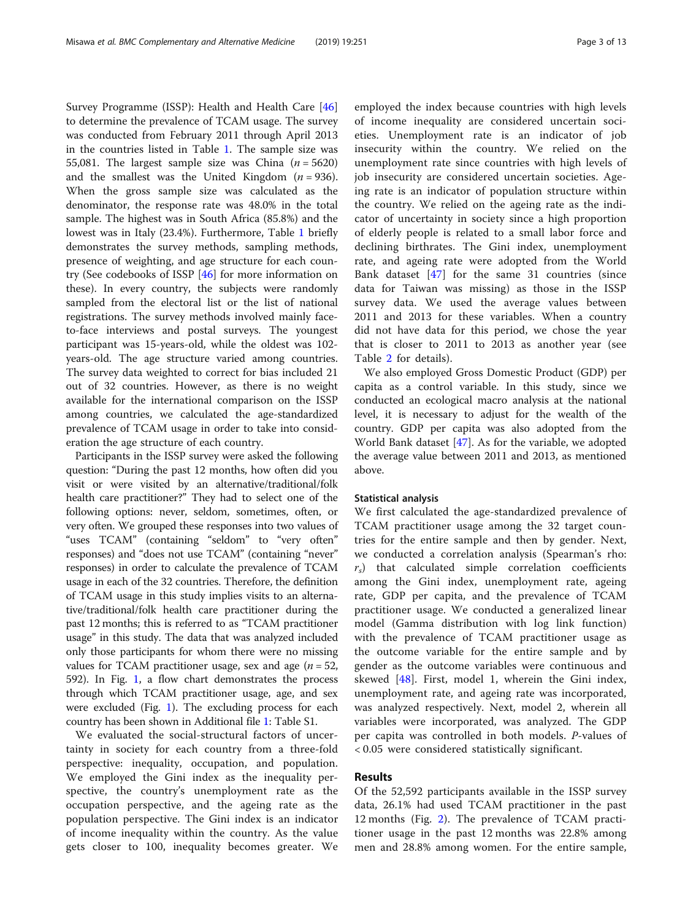Survey Programme (ISSP): Health and Health Care [[46](#page-12-0)] to determine the prevalence of TCAM usage. The survey was conducted from February 2011 through April 2013 in the countries listed in Table [1](#page-3-0). The sample size was 55,081. The largest sample size was China  $(n = 5620)$ and the smallest was the United Kingdom  $(n = 936)$ . When the gross sample size was calculated as the denominator, the response rate was 48.0% in the total sample. The highest was in South Africa (85.8%) and the lowest was in Italy (23.4%). Furthermore, Table [1](#page-3-0) briefly demonstrates the survey methods, sampling methods, presence of weighting, and age structure for each country (See codebooks of ISSP [\[46](#page-12-0)] for more information on these). In every country, the subjects were randomly sampled from the electoral list or the list of national registrations. The survey methods involved mainly faceto-face interviews and postal surveys. The youngest participant was 15-years-old, while the oldest was 102 years-old. The age structure varied among countries. The survey data weighted to correct for bias included 21 out of 32 countries. However, as there is no weight available for the international comparison on the ISSP among countries, we calculated the age-standardized prevalence of TCAM usage in order to take into consideration the age structure of each country.

Participants in the ISSP survey were asked the following question: "During the past 12 months, how often did you visit or were visited by an alternative/traditional/folk health care practitioner?" They had to select one of the following options: never, seldom, sometimes, often, or very often. We grouped these responses into two values of "uses TCAM" (containing "seldom" to "very often" responses) and "does not use TCAM" (containing "never" responses) in order to calculate the prevalence of TCAM usage in each of the 32 countries. Therefore, the definition of TCAM usage in this study implies visits to an alternative/traditional/folk health care practitioner during the past 12 months; this is referred to as "TCAM practitioner usage" in this study. The data that was analyzed included only those participants for whom there were no missing values for TCAM practitioner usage, sex and age ( $n = 52$ , 592). In Fig. [1](#page-5-0), a flow chart demonstrates the process through which TCAM practitioner usage, age, and sex were excluded (Fig. [1\)](#page-5-0). The excluding process for each country has been shown in Additional file [1](#page-11-0): Table S1.

We evaluated the social-structural factors of uncertainty in society for each country from a three-fold perspective: inequality, occupation, and population. We employed the Gini index as the inequality perspective, the country's unemployment rate as the occupation perspective, and the ageing rate as the population perspective. The Gini index is an indicator of income inequality within the country. As the value gets closer to 100, inequality becomes greater. We employed the index because countries with high levels of income inequality are considered uncertain societies. Unemployment rate is an indicator of job insecurity within the country. We relied on the unemployment rate since countries with high levels of job insecurity are considered uncertain societies. Ageing rate is an indicator of population structure within the country. We relied on the ageing rate as the indicator of uncertainty in society since a high proportion of elderly people is related to a small labor force and declining birthrates. The Gini index, unemployment rate, and ageing rate were adopted from the World Bank dataset [\[47](#page-12-0)] for the same 31 countries (since data for Taiwan was missing) as those in the ISSP survey data. We used the average values between 2011 and 2013 for these variables. When a country did not have data for this period, we chose the year that is closer to 2011 to 2013 as another year (see Table [2](#page-6-0) for details).

We also employed Gross Domestic Product (GDP) per capita as a control variable. In this study, since we conducted an ecological macro analysis at the national level, it is necessary to adjust for the wealth of the country. GDP per capita was also adopted from the World Bank dataset [\[47](#page-12-0)]. As for the variable, we adopted the average value between 2011 and 2013, as mentioned above.

#### Statistical analysis

We first calculated the age-standardized prevalence of TCAM practitioner usage among the 32 target countries for the entire sample and then by gender. Next, we conducted a correlation analysis (Spearman's rho:  $r<sub>s</sub>$ ) that calculated simple correlation coefficients among the Gini index, unemployment rate, ageing rate, GDP per capita, and the prevalence of TCAM practitioner usage. We conducted a generalized linear model (Gamma distribution with log link function) with the prevalence of TCAM practitioner usage as the outcome variable for the entire sample and by gender as the outcome variables were continuous and skewed [\[48](#page-12-0)]. First, model 1, wherein the Gini index, unemployment rate, and ageing rate was incorporated, was analyzed respectively. Next, model 2, wherein all variables were incorporated, was analyzed. The GDP per capita was controlled in both models. P-values of < 0.05 were considered statistically significant.

## Results

Of the 52,592 participants available in the ISSP survey data, 26.1% had used TCAM practitioner in the past 12 months (Fig. [2\)](#page-7-0). The prevalence of TCAM practitioner usage in the past 12 months was 22.8% among men and 28.8% among women. For the entire sample,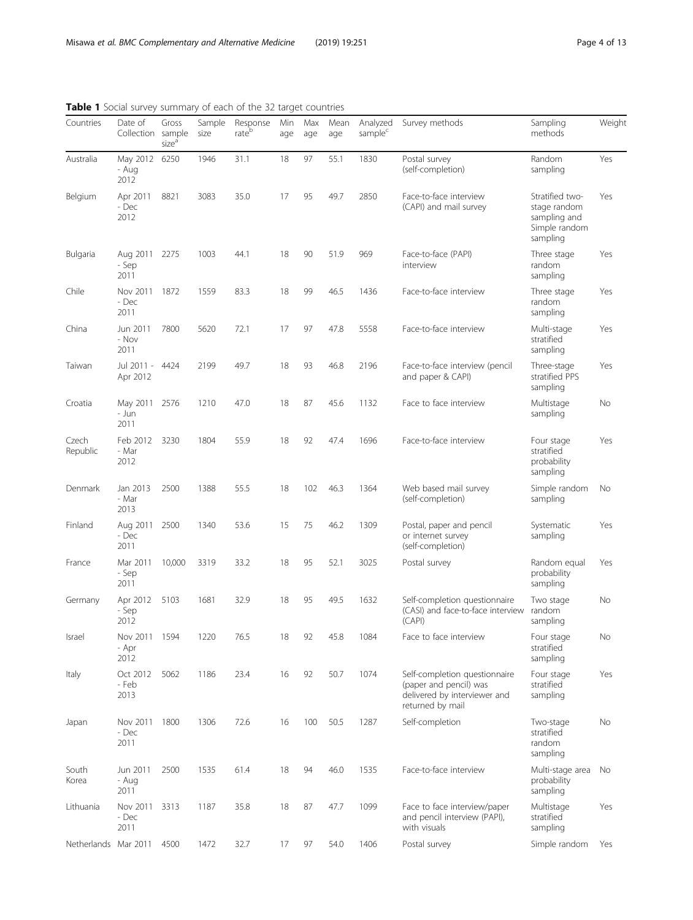| Countries            | Date of<br>Collection sample   | Gross<br>size <sup>a</sup> | Sample<br>size | Response<br>rate <sup>b</sup> | Min<br>age | Max<br>age | Mean<br>age | Analyzed<br>sample <sup>c</sup> | Survey methods                                                                                              | Sampling<br>methods                                                          | Weight |
|----------------------|--------------------------------|----------------------------|----------------|-------------------------------|------------|------------|-------------|---------------------------------|-------------------------------------------------------------------------------------------------------------|------------------------------------------------------------------------------|--------|
| Australia            | May 2012 6250<br>- Aug<br>2012 |                            | 1946           | 31.1                          | 18         | 97         | 55.1        | 1830                            | Postal survey<br>(self-completion)                                                                          | Random<br>sampling                                                           | Yes    |
| Belgium              | Apr 2011<br>- Dec<br>2012      | 8821                       | 3083           | 35.0                          | 17         | 95         | 49.7        | 2850                            | Face-to-face interview<br>(CAPI) and mail survey                                                            | Stratified two-<br>stage random<br>sampling and<br>Simple random<br>sampling | Yes    |
| <b>Bulgaria</b>      | Aug 2011<br>- Sep<br>2011      | 2275                       | 1003           | 44.1                          | 18         | 90         | 51.9        | 969                             | Face-to-face (PAPI)<br>interview                                                                            | Three stage<br>random<br>sampling                                            | Yes    |
| Chile                | Nov 2011<br>- Dec<br>2011      | 1872                       | 1559           | 83.3                          | 18         | 99         | 46.5        | 1436                            | Face-to-face interview                                                                                      | Three stage<br>random<br>sampling                                            | Yes    |
| China                | Jun 2011<br>- Nov<br>2011      | 7800                       | 5620           | 72.1                          | 17         | 97         | 47.8        | 5558                            | Face-to-face interview                                                                                      | Multi-stage<br>stratified<br>sampling                                        | Yes    |
| Taiwan               | Jul 2011 - 4424<br>Apr 2012    |                            | 2199           | 49.7                          | 18         | 93         | 46.8        | 2196                            | Face-to-face interview (pencil<br>and paper & CAPI)                                                         | Three-stage<br>stratified PPS<br>sampling                                    | Yes    |
| Croatia              | May 2011<br>- Jun<br>2011      | 2576                       | 1210           | 47.0                          | 18         | 87         | 45.6        | 1132                            | Face to face interview                                                                                      | Multistage<br>sampling                                                       | No     |
| Czech<br>Republic    | Feb 2012<br>- Mar<br>2012      | 3230                       | 1804           | 55.9                          | 18         | 92         | 47.4        | 1696                            | Face-to-face interview                                                                                      | Four stage<br>stratified<br>probability<br>sampling                          | Yes    |
| Denmark              | Jan 2013<br>- Mar<br>2013      | 2500                       | 1388           | 55.5                          | 18         | 102        | 46.3        | 1364                            | Web based mail survey<br>(self-completion)                                                                  | Simple random<br>sampling                                                    | No     |
| Finland              | Aug 2011 2500<br>- Dec<br>2011 |                            | 1340           | 53.6                          | 15         | 75         | 46.2        | 1309                            | Postal, paper and pencil<br>or internet survey<br>(self-completion)                                         | Systematic<br>sampling                                                       | Yes    |
| France               | Mar 2011<br>- Sep<br>2011      | 10,000                     | 3319           | 33.2                          | 18         | 95         | 52.1        | 3025                            | Postal survey                                                                                               | Random equal<br>probability<br>sampling                                      | Yes    |
| Germany              | Apr 2012<br>- Sep<br>2012      | 5103                       | 1681           | 32.9                          | 18         | 95         | 49.5        | 1632                            | Self-completion questionnaire<br>(CASI) and face-to-face interview<br>(CAPI)                                | Two stage<br>random<br>sampling                                              | No     |
| Israel               | Nov 2011<br>- Apr<br>2012      | 1594                       | 1220           | 76.5                          | 18         | 92         | 45.8        | 1084                            | Face to face interview                                                                                      | Four stage<br>stratified<br>sampling                                         | No     |
| Italy                | Oct 2012<br>- Feb<br>2013      | 5062                       | 1186           | 23.4                          | 16         | 92         | 50.7        | 1074                            | Self-completion questionnaire<br>(paper and pencil) was<br>delivered by interviewer and<br>returned by mail | Four stage<br>stratified<br>sampling                                         | Yes    |
| Japan                | Nov 2011<br>- Dec<br>2011      | 1800                       | 1306           | 72.6                          | 16         | 100        | 50.5        | 1287                            | Self-completion                                                                                             | Two-stage<br>stratified<br>random<br>sampling                                | No     |
| South<br>Korea       | Jun 2011<br>- Aug<br>2011      | 2500                       | 1535           | 61.4                          | 18         | 94         | 46.0        | 1535                            | Face-to-face interview                                                                                      | Multi-stage area<br>probability<br>sampling                                  | No     |
| Lithuania            | Nov 2011<br>- Dec<br>2011      | 3313                       | 1187           | 35.8                          | 18         | 87         | 47.7        | 1099                            | Face to face interview/paper<br>and pencil interview (PAPI),<br>with visuals                                | Multistage<br>stratified<br>sampling                                         | Yes    |
| Netherlands Mar 2011 |                                | 4500                       | 1472           | 32.7                          | 17         | 97         | 54.0        | 1406                            | Postal survey                                                                                               | Simple random                                                                | Yes    |

<span id="page-3-0"></span>Table 1 Social survey summary of each of the 32 target countries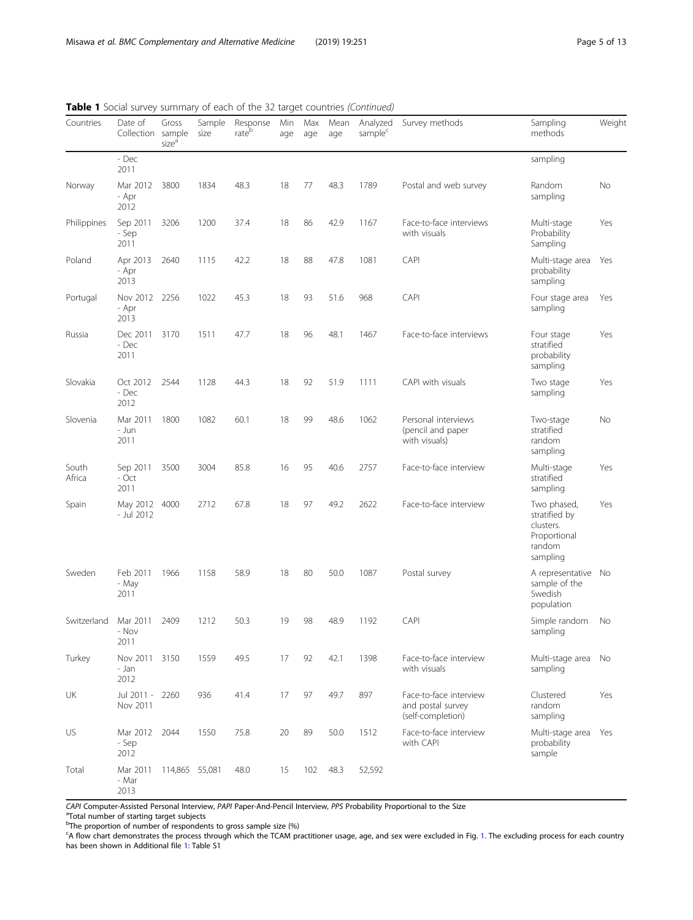Table 1 Social survey summary of each of the 32 target countries (Continued)

| Countries       | Date of<br>Collection          | Gross<br>sample<br>size <sup>a</sup> | Sample<br>size | Response<br>rateb | Min<br>age | Max<br>age | Mean<br>age | Analyzed<br>sample <sup>c</sup> | Survey methods                                                   | Sampling<br>methods                                                             | Weight |
|-----------------|--------------------------------|--------------------------------------|----------------|-------------------|------------|------------|-------------|---------------------------------|------------------------------------------------------------------|---------------------------------------------------------------------------------|--------|
|                 | - Dec<br>2011                  |                                      |                |                   |            |            |             |                                 |                                                                  | sampling                                                                        |        |
| Norway          | Mar 2012<br>- Apr<br>2012      | 3800                                 | 1834           | 48.3              | 18         | 77         | 48.3        | 1789                            | Postal and web survey                                            | Random<br>sampling                                                              | No     |
| Philippines     | Sep 2011<br>- Sep<br>2011      | 3206                                 | 1200           | 37.4              | 18         | 86         | 42.9        | 1167                            | Face-to-face interviews<br>with visuals                          | Multi-stage<br>Probability<br>Sampling                                          | Yes    |
| Poland          | Apr 2013<br>- Apr<br>2013      | 2640                                 | 1115           | 42.2              | 18         | 88         | 47.8        | 1081                            | CAPI                                                             | Multi-stage area<br>probability<br>sampling                                     | Yes    |
| Portugal        | Nov 2012 2256<br>- Apr<br>2013 |                                      | 1022           | 45.3              | 18         | 93         | 51.6        | 968                             | CAPI                                                             | Four stage area<br>sampling                                                     | Yes    |
| Russia          | Dec 2011<br>- Dec<br>2011      | 3170                                 | 1511           | 47.7              | 18         | 96         | 48.1        | 1467                            | Face-to-face interviews                                          | Four stage<br>stratified<br>probability<br>sampling                             | Yes    |
| Slovakia        | Oct 2012<br>- Dec<br>2012      | 2544                                 | 1128           | 44.3              | 18         | 92         | 51.9        | 1111                            | CAPI with visuals                                                | Two stage<br>sampling                                                           | Yes    |
| Slovenia        | Mar 2011<br>- Jun<br>2011      | 1800                                 | 1082           | 60.1              | 18         | 99         | 48.6        | 1062                            | Personal interviews<br>(pencil and paper<br>with visuals)        | Two-stage<br>stratified<br>random<br>sampling                                   | No     |
| South<br>Africa | Sep 2011<br>- Oct<br>2011      | 3500                                 | 3004           | 85.8              | 16         | 95         | 40.6        | 2757                            | Face-to-face interview                                           | Multi-stage<br>stratified<br>sampling                                           | Yes    |
| Spain           | May 2012 4000<br>- Jul 2012    |                                      | 2712           | 67.8              | 18         | 97         | 49.2        | 2622                            | Face-to-face interview                                           | Two phased,<br>stratified by<br>clusters.<br>Proportional<br>random<br>sampling | Yes    |
| Sweden          | Feb 2011<br>- May<br>2011      | 1966                                 | 1158           | 58.9              | 18         | 80         | 50.0        | 1087                            | Postal survey                                                    | A representative No<br>sample of the<br>Swedish<br>population                   |        |
| Switzerland     | Mar 2011<br>- Nov<br>2011      | 2409                                 | 1212           | 50.3              | 19         | 98         | 48.9        | 1192                            | CAPI                                                             | Simple random<br>sampling                                                       | No     |
| Turkey          | Nov 2011<br>- Jan<br>2012      | 3150                                 | 1559           | 49.5              | 17         | 92         | 42.1        | 1398                            | Face-to-face interview<br>with visuals                           | Multi-stage area<br>sampling                                                    | No     |
| UK              | Jul 2011 -<br>Nov 2011         | 2260                                 | 936            | 41.4              | 17         | 97         | 49.7        | 897                             | Face-to-face interview<br>and postal survey<br>(self-completion) | Clustered<br>random<br>sampling                                                 | Yes    |
| US              | Mar 2012<br>- Sep<br>2012      | 2044                                 | 1550           | 75.8              | 20         | 89         | 50.0        | 1512                            | Face-to-face interview<br>with CAPI                              | Multi-stage area<br>probability<br>sample                                       | Yes    |
| Total           | Mar 2011<br>- Mar<br>2013      | 114,865 55,081                       |                | 48.0              | 15         | 102        | 48.3        | 52,592                          |                                                                  |                                                                                 |        |

CAPI Computer-Assisted Personal Interview, PAPI Paper-And-Pencil Interview, PPS Probability Proportional to the Size <sup>a</sup>

<sup>a</sup>Total number of starting target subjects<br><sup>b</sup>The proportion of number of respondents to gross sample size (%)

c A flow chart demonstrates the process through which the TCAM practitioner usage, age, and sex were excluded in Fig. [1.](#page-5-0) The excluding process for each country has been shown in Additional file [1:](#page-11-0) Table S1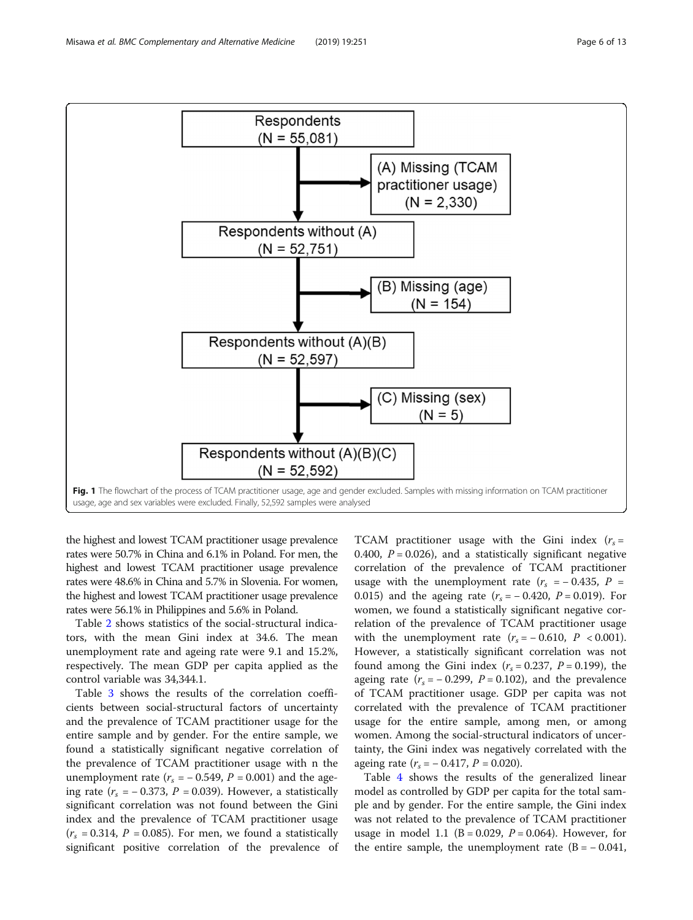<span id="page-5-0"></span>

the highest and lowest TCAM practitioner usage prevalence rates were 50.7% in China and 6.1% in Poland. For men, the highest and lowest TCAM practitioner usage prevalence rates were 48.6% in China and 5.7% in Slovenia. For women, the highest and lowest TCAM practitioner usage prevalence rates were 56.1% in Philippines and 5.6% in Poland.

Table [2](#page-6-0) shows statistics of the social-structural indicators, with the mean Gini index at 34.6. The mean unemployment rate and ageing rate were 9.1 and 15.2%, respectively. The mean GDP per capita applied as the control variable was 34,344.1.

Table [3](#page-8-0) shows the results of the correlation coefficients between social-structural factors of uncertainty and the prevalence of TCAM practitioner usage for the entire sample and by gender. For the entire sample, we found a statistically significant negative correlation of the prevalence of TCAM practitioner usage with n the unemployment rate ( $r_s = -0.549$ ,  $P = 0.001$ ) and the ageing rate ( $r_s = -0.373$ ,  $P = 0.039$ ). However, a statistically significant correlation was not found between the Gini index and the prevalence of TCAM practitioner usage  $(r<sub>s</sub> = 0.314, P = 0.085)$ . For men, we found a statistically significant positive correlation of the prevalence of TCAM practitioner usage with the Gini index  $(r_s =$ 0.400,  $P = 0.026$ ), and a statistically significant negative correlation of the prevalence of TCAM practitioner usage with the unemployment rate  $(r_s = -0.435, P =$ 0.015) and the ageing rate  $(r_s = -0.420, P = 0.019)$ . For women, we found a statistically significant negative correlation of the prevalence of TCAM practitioner usage with the unemployment rate  $(r<sub>s</sub> = -0.610, P < 0.001)$ . However, a statistically significant correlation was not found among the Gini index ( $r_s = 0.237$ ,  $P = 0.199$ ), the ageing rate  $(r_s = -0.299, P = 0.102)$ , and the prevalence of TCAM practitioner usage. GDP per capita was not correlated with the prevalence of TCAM practitioner usage for the entire sample, among men, or among women. Among the social-structural indicators of uncertainty, the Gini index was negatively correlated with the ageing rate  $(r_s = -0.417, P = 0.020)$ .

Table [4](#page-8-0) shows the results of the generalized linear model as controlled by GDP per capita for the total sample and by gender. For the entire sample, the Gini index was not related to the prevalence of TCAM practitioner usage in model 1.1 ( $B = 0.029$ ,  $P = 0.064$ ). However, for the entire sample, the unemployment rate  $(B = -0.041,$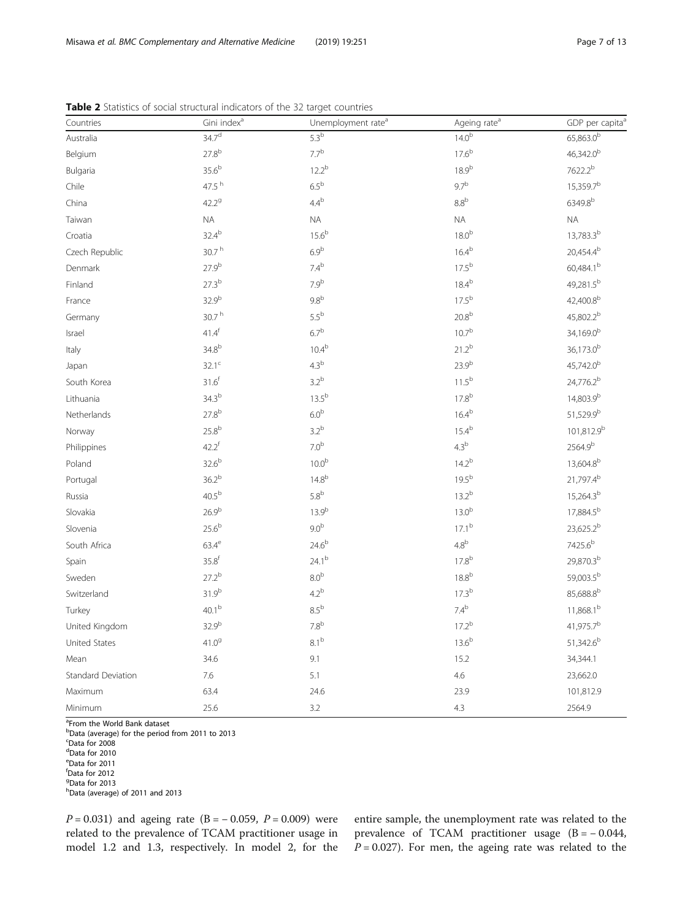| Countries            | Gini index <sup>a</sup> | Unemployment rate <sup>a</sup> | Ageing rate <sup>a</sup> | GDP per capita <sup>a</sup> |
|----------------------|-------------------------|--------------------------------|--------------------------|-----------------------------|
| Australia            | $34.7^d$                | 5.3 <sup>b</sup>               | 14.0 <sup>b</sup>        | 65,863.0b                   |
| Belgium              | $27.8^{b}$              | 7.7 <sup>b</sup>               | $17.6^{b}$               | 46,342.0b                   |
| Bulgaria             | 35.6 <sup>b</sup>       | $12.2^{b}$                     | 18.9 <sup>b</sup>        | 7622.2 <sup>b</sup>         |
| Chile                | $47.5^{\,h}$            | $6.5^{\rm b}$                  | 9.7 <sup>b</sup>         | 15,359.7b                   |
| China                | 42.29                   | $4.4^b$                        | 8.8 <sup>b</sup>         | 6349.8 <sup>b</sup>         |
| Taiwan               | <b>NA</b>               | <b>NA</b>                      | <b>NA</b>                | NA                          |
| Croatia              | $32.4^{b}$              | $15.6^b$                       | 18.0 <sup>b</sup>        | 13,783.3 <sup>b</sup>       |
| Czech Republic       | 30.7h                   | 6.9 <sup>b</sup>               | $16.4^b$                 | 20,454.4 <sup>b</sup>       |
| Denmark              | $27.9^{b}$              | $7.4^b$                        | $17.5^{b}$               | 60,484.1 <sup>b</sup>       |
| Finland              | $27.3^{\rm b}$          | 7.9 <sup>b</sup>               | $18.4^{b}$               | 49,281.5 <sup>b</sup>       |
| France               | 32.9 <sup>b</sup>       | 9.8 <sup>b</sup>               | $17.5^{b}$               | 42,400.8 <sup>b</sup>       |
| Germany              | 30.7h                   | $5.5^{\rm b}$                  | $20.8^{b}$               | 45,802.2 <sup>b</sup>       |
| Israel               | $41.4^{f}$              | 6.7 <sup>b</sup>               | 10.7 <sup>b</sup>        | 34,169.0 <sup>b</sup>       |
| Italy                | $34.8^{\rm b}$          | 10.4 <sup>b</sup>              | $21.2^{b}$               | 36,173.0 <sup>b</sup>       |
| Japan                | $32.1^c$                | 4.3 <sup>b</sup>               | 23.9 <sup>b</sup>        | 45,742.0 <sup>b</sup>       |
| South Korea          | 31.6 <sup>f</sup>       | 3.2 <sup>b</sup>               | $11.5^{b}$               | 24,776.2 <sup>b</sup>       |
| Lithuania            | $34.3^{\rm b}$          | $13.5^{\mathrm{b}}$            | $17.8^{b}$               | 14,803.9 <sup>b</sup>       |
| Netherlands          | $27.8^{b}$              | 6.0 <sup>b</sup>               | $16.4^{b}$               | 51,529.9b                   |
| Norway               | $25.8^{b}$              | 3.2 <sup>b</sup>               | $15.4^{b}$               | 101,812.9 <sup>b</sup>      |
| Philippines          | 42.2 <sup>f</sup>       | 7.0 <sup>b</sup>               | 4.3 <sup>b</sup>         | 2564.9 <sup>b</sup>         |
| Poland               | 32.6 <sup>b</sup>       | 10.0 <sup>b</sup>              | $14.2^{b}$               | 13,604.8 <sup>b</sup>       |
| Portugal             | 36.2 <sup>b</sup>       | 14.8 <sup>b</sup>              | $19.5^{b}$               | 21,797.4 <sup>b</sup>       |
| Russia               | 40.5 <sup>b</sup>       | 5.8 <sup>b</sup>               | $13.2^{b}$               | 15,264.3 <sup>b</sup>       |
| Slovakia             | 26.9 <sup>b</sup>       | $13.9^{b}$                     | 13.0 <sup>b</sup>        | 17,884.5 <sup>b</sup>       |
| Slovenia             | 25.6 <sup>b</sup>       | 9.0 <sup>b</sup>               | $17.1^{\rm b}$           | 23,625.2 <sup>b</sup>       |
| South Africa         | $63.4^e$                | 24.6 <sup>b</sup>              | 4.8 <sup>b</sup>         | $7425.6^{b}$                |
| Spain                | 35.8 <sup>f</sup>       | $24.1^{b}$                     | $17.8^{b}$               | 29,870.3 <sup>b</sup>       |
| Sweden               | $27.2^{b}$              | 8.0 <sup>b</sup>               | 18.8 <sup>b</sup>        | 59,003.5 <sup>b</sup>       |
| Switzerland          | 31.9 <sup>b</sup>       | $4.2^b$                        | $17.3^{b}$               | 85,688.8 <sup>b</sup>       |
| Turkey               | $40.1^{b}$              | $8.5^{\rm b}$                  | $7.4^b$                  | 11,868.1 <sup>b</sup>       |
| United Kingdom       | 32.9 <sup>b</sup>       | 7.8 <sup>b</sup>               | $17.2^{b}$               | 41,975.7 <sup>b</sup>       |
| <b>United States</b> | $41.0^{9}$              | 8.1 <sup>b</sup>               | $13.6^{b}$               | 51,342.6 <sup>b</sup>       |
| Mean                 | 34.6                    | 9.1                            | 15.2                     | 34,344.1                    |
| Standard Deviation   | 7.6                     | 5.1                            | 4.6                      | 23,662.0                    |
| Maximum              | 63.4                    | 24.6                           | 23.9                     | 101,812.9                   |
| Minimum              | 25.6                    | 3.2                            | 4.3                      | 2564.9                      |

<span id="page-6-0"></span>Table 2 Statistics of social structural indicators of the 32 target countries

<sup>a</sup>From the World Bank dataset

<sup>b</sup>Data (average) for the period from 2011 to 2013

c Data for 2008

d Data for 2010 e Data for 2011

f Data for 2012

<sup>g</sup>Data for 2013

h Data (average) of 2011 and 2013

 $P = 0.031$ ) and ageing rate (B = −0.059, P = 0.009) were related to the prevalence of TCAM practitioner usage in model 1.2 and 1.3, respectively. In model 2, for the entire sample, the unemployment rate was related to the prevalence of TCAM practitioner usage  $(B = -0.044,$  $P = 0.027$ ). For men, the ageing rate was related to the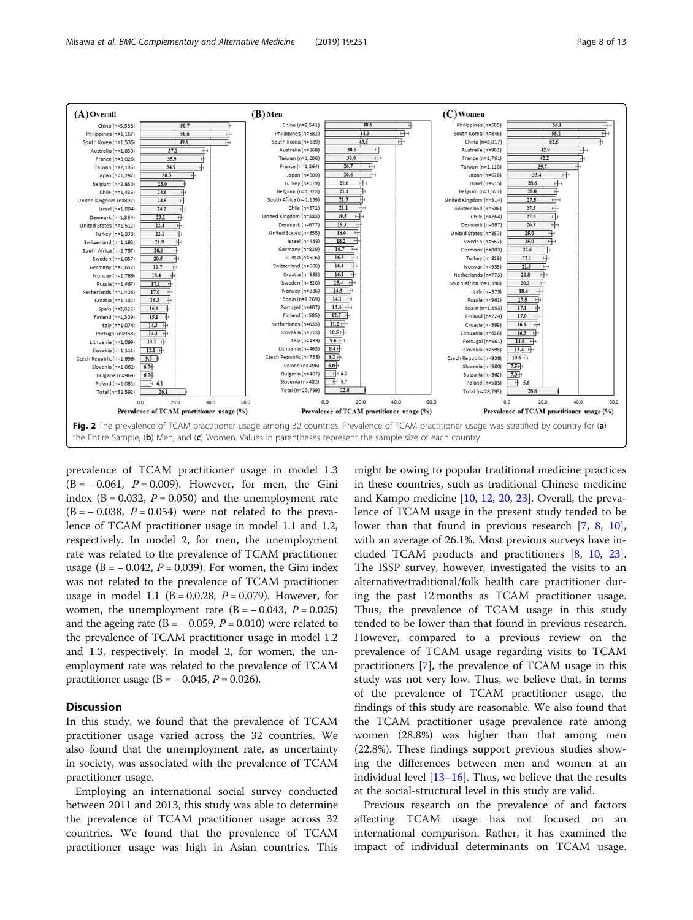<span id="page-7-0"></span>

prevalence of TCAM practitioner usage in model 1.3  $(B = -0.061, P = 0.009)$ . However, for men, the Gini index ( $B = 0.032$ ,  $P = 0.050$ ) and the unemployment rate  $(B = -0.038, P = 0.054)$  were not related to the prevalence of TCAM practitioner usage in model 1.1 and 1.2, respectively. In model 2, for men, the unemployment rate was related to the prevalence of TCAM practitioner usage (B =  $-$  0.042, P = 0.039). For women, the Gini index was not related to the prevalence of TCAM practitioner usage in model 1.1 ( $B = 0.0.28$ ,  $P = 0.079$ ). However, for women, the unemployment rate  $(B = -0.043, P = 0.025)$ and the ageing rate (B =  $-$  0.059, P = 0.010) were related to the prevalence of TCAM practitioner usage in model 1.2 and 1.3, respectively. In model 2, for women, the unemployment rate was related to the prevalence of TCAM practitioner usage (B =  $-$  0.045, P = 0.026).

## **Discussion**

In this study, we found that the prevalence of TCAM practitioner usage varied across the 32 countries. We also found that the unemployment rate, as uncertainty in society, was associated with the prevalence of TCAM practitioner usage.

Employing an international social survey conducted between 2011 and 2013, this study was able to determine the prevalence of TCAM practitioner usage across 32 countries. We found that the prevalence of TCAM practitioner usage was high in Asian countries. This

might be owing to popular traditional medicine practices in these countries, such as traditional Chinese medicine and Kampo medicine [[10](#page-11-0), [12](#page-12-0), [20,](#page-12-0) [23\]](#page-12-0). Overall, the prevalence of TCAM usage in the present study tended to be lower than that found in previous research [[7](#page-11-0), [8](#page-11-0), [10](#page-11-0)], with an average of 26.1%. Most previous surveys have included TCAM products and practitioners [[8,](#page-11-0) [10,](#page-11-0) [23](#page-12-0)]. The ISSP survey, however, investigated the visits to an alternative/traditional/folk health care practitioner during the past 12 months as TCAM practitioner usage. Thus, the prevalence of TCAM usage in this study tended to be lower than that found in previous research. However, compared to a previous review on the prevalence of TCAM usage regarding visits to TCAM practitioners [\[7](#page-11-0)], the prevalence of TCAM usage in this study was not very low. Thus, we believe that, in terms of the prevalence of TCAM practitioner usage, the findings of this study are reasonable. We also found that the TCAM practitioner usage prevalence rate among women (28.8%) was higher than that among men (22.8%). These findings support previous studies showing the differences between men and women at an individual level [\[13](#page-12-0)–[16\]](#page-12-0). Thus, we believe that the results at the social-structural level in this study are valid.

Previous research on the prevalence of and factors affecting TCAM usage has not focused on an international comparison. Rather, it has examined the impact of individual determinants on TCAM usage.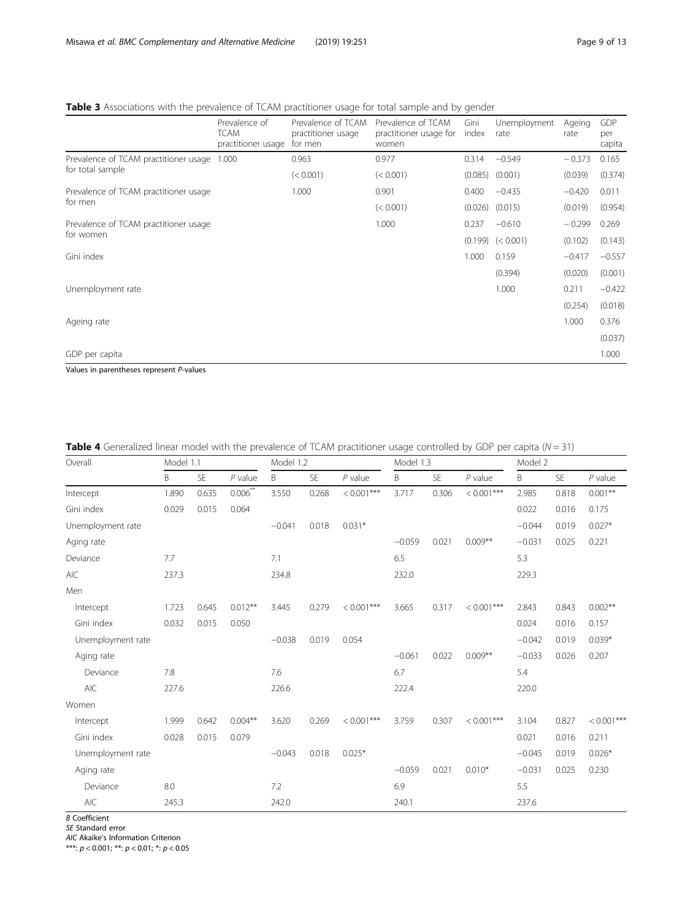## <span id="page-8-0"></span>Table 3 Associations with the prevalence of TCAM practitioner usage for total sample and by gender

|                                       | Prevalence of<br><b>TCAM</b><br>practitioner usage | Prevalence of TCAM<br>practitioner usage<br>for men | Prevalence of TCAM<br>practitioner usage for<br>women | Gini<br>index | Unemployment<br>rate  | Ageing<br>rate | GDP<br>per<br>capita |
|---------------------------------------|----------------------------------------------------|-----------------------------------------------------|-------------------------------------------------------|---------------|-----------------------|----------------|----------------------|
| Prevalence of TCAM practitioner usage | 1.000                                              | 0.963                                               | 0.977                                                 | 0.314         | $-0.549$              | $-0.373$       | 0.165                |
| for total sample                      |                                                    | (< 0.001)                                           | (< 0.001)                                             |               | $(0.085)$ $(0.001)$   | (0.039)        | (0.374)              |
| Prevalence of TCAM practitioner usage |                                                    | 1.000                                               | 0.901                                                 | 0.400         | $-0.435$              | $-0.420$       | 0.011                |
| for men                               |                                                    |                                                     | (< 0.001)                                             | (0.026)       | (0.015)               | (0.019)        | (0.954)              |
| Prevalence of TCAM practitioner usage |                                                    |                                                     | 1.000                                                 | 0.237         | $-0.610$              | $-0.299$       | 0.269                |
| for women                             |                                                    |                                                     |                                                       |               | $(0.199)$ $(< 0.001)$ | (0.102)        | (0.143)              |
| Gini index                            |                                                    |                                                     |                                                       | 1.000         | 0.159                 | $-0.417$       | $-0.557$             |
|                                       |                                                    |                                                     |                                                       |               | (0.394)               | (0.020)        | (0.001)              |
| Unemployment rate                     |                                                    |                                                     |                                                       |               | 1.000                 | 0.211          | $-0.422$             |
|                                       |                                                    |                                                     |                                                       |               |                       | (0.254)        | (0.018)              |
| Ageing rate                           |                                                    |                                                     |                                                       |               |                       | 1.000          | 0.376                |
|                                       |                                                    |                                                     |                                                       |               |                       |                | (0.037)              |
| GDP per capita                        |                                                    |                                                     |                                                       |               |                       |                | 1.000                |

Values in parentheses represent P-values

|  |  |  | <b>Table 4</b> Generalized linear model with the prevalence of TCAM practitioner usage controlled by GDP per capita ( $N = 31$ ) |  |  |
|--|--|--|----------------------------------------------------------------------------------------------------------------------------------|--|--|
|  |  |  |                                                                                                                                  |  |  |

| Overall           | Model 1.1 |           |            | Model 1.2 |           |              | Model 1.3 |       |              | Model 2  |       |              |
|-------------------|-----------|-----------|------------|-----------|-----------|--------------|-----------|-------|--------------|----------|-------|--------------|
|                   | B         | <b>SE</b> | $P$ value  | B         | <b>SE</b> | $P$ value    | Β         | SE    | $P$ value    | B        | SE    | $P$ value    |
| Intercept         | 1.890     | 0.635     | $0.006***$ | 3.550     | 0.268     | $< 0.001***$ | 3.717     | 0.306 | $< 0.001***$ | 2.985    | 0.818 | $0.001**$    |
| Gini index        | 0.029     | 0.015     | 0.064      |           |           |              |           |       |              | 0.022    | 0.016 | 0.175        |
| Unemployment rate |           |           |            | $-0.041$  | 0.018     | $0.031*$     |           |       |              | $-0.044$ | 0.019 | $0.027*$     |
| Aging rate        |           |           |            |           |           |              | $-0.059$  | 0.021 | $0.009**$    | $-0.031$ | 0.025 | 0.221        |
| Deviance          | 7.7       |           |            | 7.1       |           |              | 6.5       |       |              | 5.3      |       |              |
| AIC               | 237.3     |           |            | 234.8     |           |              | 232.0     |       |              | 229.3    |       |              |
| Men               |           |           |            |           |           |              |           |       |              |          |       |              |
| Intercept         | 1.723     | 0.645     | $0.012**$  | 3.445     | 0.279     | $< 0.001***$ | 3.665     | 0.317 | $< 0.001***$ | 2.843    | 0.843 | $0.002**$    |
| Gini index        | 0.032     | 0.015     | 0.050      |           |           |              |           |       |              | 0.024    | 0.016 | 0.157        |
| Unemployment rate |           |           |            | $-0.038$  | 0.019     | 0.054        |           |       |              | $-0.042$ | 0.019 | $0.039*$     |
| Aging rate        |           |           |            |           |           |              | $-0.061$  | 0.022 | $0.009**$    | $-0.033$ | 0.026 | 0.207        |
| Deviance          | 7.8       |           |            | 7.6       |           |              | 6.7       |       |              | 5.4      |       |              |
| AIC               | 227.6     |           |            | 226.6     |           |              | 222.4     |       |              | 220.0    |       |              |
| Women             |           |           |            |           |           |              |           |       |              |          |       |              |
| Intercept         | 1.999     | 0.642     | $0.004**$  | 3.620     | 0.269     | $< 0.001***$ | 3.759     | 0.307 | $< 0.001***$ | 3.104    | 0.827 | $< 0.001***$ |
| Gini index        | 0.028     | 0.015     | 0.079      |           |           |              |           |       |              | 0.021    | 0.016 | 0.211        |
| Unemployment rate |           |           |            | $-0.043$  | 0.018     | $0.025*$     |           |       |              | $-0.045$ | 0.019 | $0.026*$     |
| Aging rate        |           |           |            |           |           |              | $-0.059$  | 0.021 | $0.010*$     | $-0.031$ | 0.025 | 0.230        |
| Deviance          | 8.0       |           |            | 7.2       |           |              | 6.9       |       |              | 5.5      |       |              |
| AIC               | 245.3     |           |            | 242.0     |           |              | 240.1     |       |              | 237.6    |       |              |

B Coefficient

SE Standard error

AIC Akaike's Information Criterion

\*\*\*:  $p < 0.001$ ; \*\*:  $p < 0.01$ ; \*:  $p < 0.05$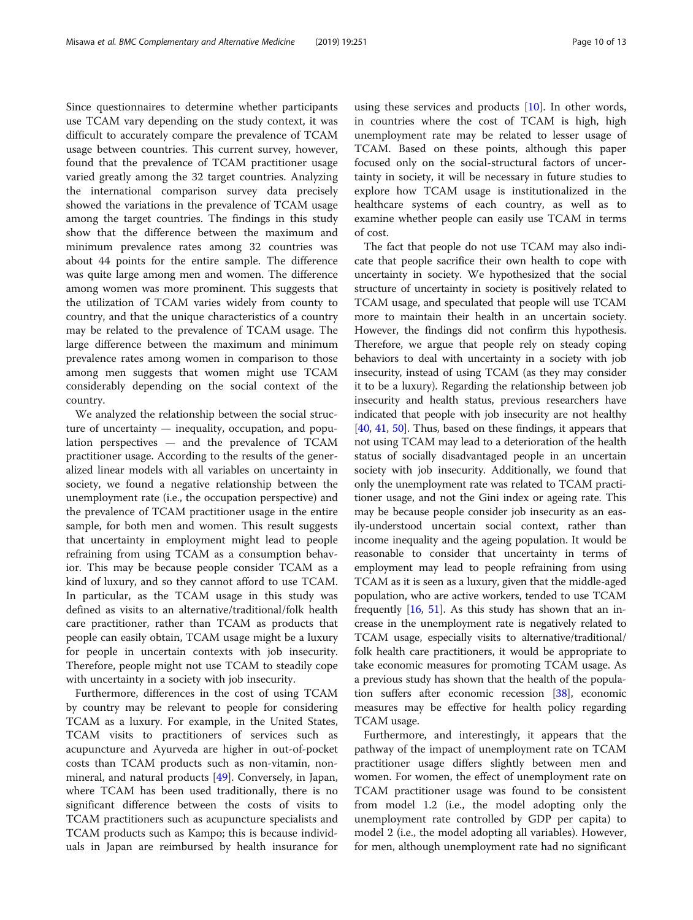Since questionnaires to determine whether participants use TCAM vary depending on the study context, it was difficult to accurately compare the prevalence of TCAM usage between countries. This current survey, however, found that the prevalence of TCAM practitioner usage varied greatly among the 32 target countries. Analyzing the international comparison survey data precisely showed the variations in the prevalence of TCAM usage among the target countries. The findings in this study show that the difference between the maximum and minimum prevalence rates among 32 countries was about 44 points for the entire sample. The difference was quite large among men and women. The difference among women was more prominent. This suggests that the utilization of TCAM varies widely from county to country, and that the unique characteristics of a country may be related to the prevalence of TCAM usage. The large difference between the maximum and minimum prevalence rates among women in comparison to those among men suggests that women might use TCAM considerably depending on the social context of the country.

We analyzed the relationship between the social structure of uncertainty — inequality, occupation, and population perspectives — and the prevalence of TCAM practitioner usage. According to the results of the generalized linear models with all variables on uncertainty in society, we found a negative relationship between the unemployment rate (i.e., the occupation perspective) and the prevalence of TCAM practitioner usage in the entire sample, for both men and women. This result suggests that uncertainty in employment might lead to people refraining from using TCAM as a consumption behavior. This may be because people consider TCAM as a kind of luxury, and so they cannot afford to use TCAM. In particular, as the TCAM usage in this study was defined as visits to an alternative/traditional/folk health care practitioner, rather than TCAM as products that people can easily obtain, TCAM usage might be a luxury for people in uncertain contexts with job insecurity. Therefore, people might not use TCAM to steadily cope with uncertainty in a society with job insecurity.

Furthermore, differences in the cost of using TCAM by country may be relevant to people for considering TCAM as a luxury. For example, in the United States, TCAM visits to practitioners of services such as acupuncture and Ayurveda are higher in out-of-pocket costs than TCAM products such as non-vitamin, nonmineral, and natural products [[49\]](#page-12-0). Conversely, in Japan, where TCAM has been used traditionally, there is no significant difference between the costs of visits to TCAM practitioners such as acupuncture specialists and TCAM products such as Kampo; this is because individuals in Japan are reimbursed by health insurance for

using these services and products [[10\]](#page-11-0). In other words, in countries where the cost of TCAM is high, high unemployment rate may be related to lesser usage of TCAM. Based on these points, although this paper focused only on the social-structural factors of uncertainty in society, it will be necessary in future studies to explore how TCAM usage is institutionalized in the healthcare systems of each country, as well as to examine whether people can easily use TCAM in terms of cost.

The fact that people do not use TCAM may also indicate that people sacrifice their own health to cope with uncertainty in society. We hypothesized that the social structure of uncertainty in society is positively related to TCAM usage, and speculated that people will use TCAM more to maintain their health in an uncertain society. However, the findings did not confirm this hypothesis. Therefore, we argue that people rely on steady coping behaviors to deal with uncertainty in a society with job insecurity, instead of using TCAM (as they may consider it to be a luxury). Regarding the relationship between job insecurity and health status, previous researchers have indicated that people with job insecurity are not healthy [[40](#page-12-0), [41](#page-12-0), [50\]](#page-12-0). Thus, based on these findings, it appears that not using TCAM may lead to a deterioration of the health status of socially disadvantaged people in an uncertain society with job insecurity. Additionally, we found that only the unemployment rate was related to TCAM practitioner usage, and not the Gini index or ageing rate. This may be because people consider job insecurity as an easily-understood uncertain social context, rather than income inequality and the ageing population. It would be reasonable to consider that uncertainty in terms of employment may lead to people refraining from using TCAM as it is seen as a luxury, given that the middle-aged population, who are active workers, tended to use TCAM frequently  $[16, 51]$  $[16, 51]$  $[16, 51]$ . As this study has shown that an increase in the unemployment rate is negatively related to TCAM usage, especially visits to alternative/traditional/ folk health care practitioners, it would be appropriate to take economic measures for promoting TCAM usage. As a previous study has shown that the health of the population suffers after economic recession [[38\]](#page-12-0), economic measures may be effective for health policy regarding TCAM usage.

Furthermore, and interestingly, it appears that the pathway of the impact of unemployment rate on TCAM practitioner usage differs slightly between men and women. For women, the effect of unemployment rate on TCAM practitioner usage was found to be consistent from model 1.2 (i.e., the model adopting only the unemployment rate controlled by GDP per capita) to model 2 (i.e., the model adopting all variables). However, for men, although unemployment rate had no significant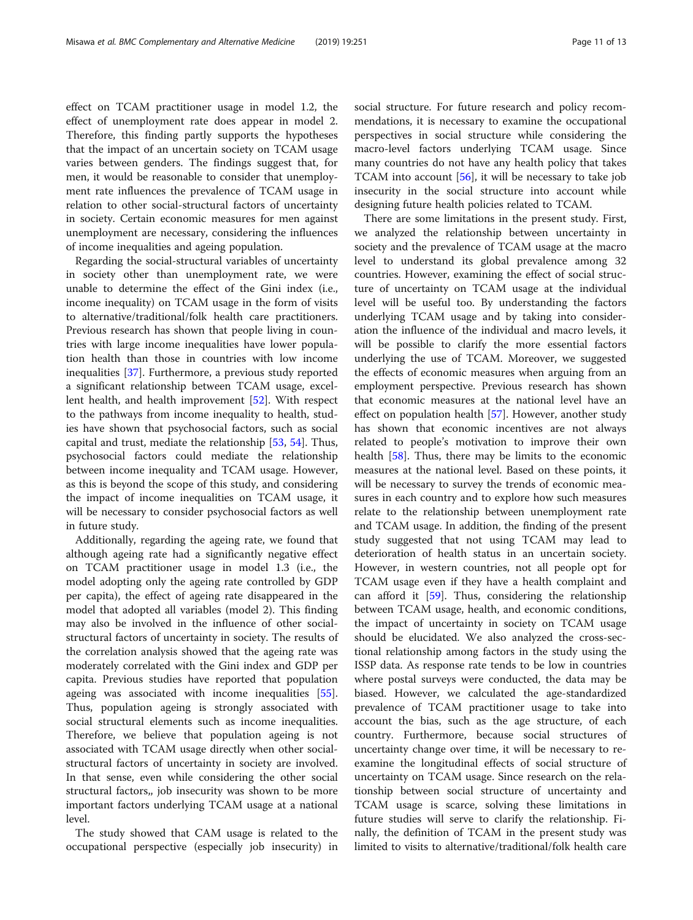effect on TCAM practitioner usage in model 1.2, the effect of unemployment rate does appear in model 2. Therefore, this finding partly supports the hypotheses that the impact of an uncertain society on TCAM usage varies between genders. The findings suggest that, for men, it would be reasonable to consider that unemployment rate influences the prevalence of TCAM usage in relation to other social-structural factors of uncertainty in society. Certain economic measures for men against unemployment are necessary, considering the influences of income inequalities and ageing population.

Regarding the social-structural variables of uncertainty in society other than unemployment rate, we were unable to determine the effect of the Gini index (i.e., income inequality) on TCAM usage in the form of visits to alternative/traditional/folk health care practitioners. Previous research has shown that people living in countries with large income inequalities have lower population health than those in countries with low income inequalities [\[37](#page-12-0)]. Furthermore, a previous study reported a significant relationship between TCAM usage, excellent health, and health improvement [\[52](#page-12-0)]. With respect to the pathways from income inequality to health, studies have shown that psychosocial factors, such as social capital and trust, mediate the relationship [\[53](#page-12-0), [54](#page-12-0)]. Thus, psychosocial factors could mediate the relationship between income inequality and TCAM usage. However, as this is beyond the scope of this study, and considering the impact of income inequalities on TCAM usage, it will be necessary to consider psychosocial factors as well in future study.

Additionally, regarding the ageing rate, we found that although ageing rate had a significantly negative effect on TCAM practitioner usage in model 1.3 (i.e., the model adopting only the ageing rate controlled by GDP per capita), the effect of ageing rate disappeared in the model that adopted all variables (model 2). This finding may also be involved in the influence of other socialstructural factors of uncertainty in society. The results of the correlation analysis showed that the ageing rate was moderately correlated with the Gini index and GDP per capita. Previous studies have reported that population ageing was associated with income inequalities [\[55](#page-12-0)]. Thus, population ageing is strongly associated with social structural elements such as income inequalities. Therefore, we believe that population ageing is not associated with TCAM usage directly when other socialstructural factors of uncertainty in society are involved. In that sense, even while considering the other social structural factors,, job insecurity was shown to be more important factors underlying TCAM usage at a national level.

The study showed that CAM usage is related to the occupational perspective (especially job insecurity) in social structure. For future research and policy recommendations, it is necessary to examine the occupational perspectives in social structure while considering the macro-level factors underlying TCAM usage. Since many countries do not have any health policy that takes TCAM into account [\[56\]](#page-12-0), it will be necessary to take job insecurity in the social structure into account while designing future health policies related to TCAM.

There are some limitations in the present study. First, we analyzed the relationship between uncertainty in society and the prevalence of TCAM usage at the macro level to understand its global prevalence among 32 countries. However, examining the effect of social structure of uncertainty on TCAM usage at the individual level will be useful too. By understanding the factors underlying TCAM usage and by taking into consideration the influence of the individual and macro levels, it will be possible to clarify the more essential factors underlying the use of TCAM. Moreover, we suggested the effects of economic measures when arguing from an employment perspective. Previous research has shown that economic measures at the national level have an effect on population health [\[57\]](#page-12-0). However, another study has shown that economic incentives are not always related to people's motivation to improve their own health [\[58\]](#page-12-0). Thus, there may be limits to the economic measures at the national level. Based on these points, it will be necessary to survey the trends of economic measures in each country and to explore how such measures relate to the relationship between unemployment rate and TCAM usage. In addition, the finding of the present study suggested that not using TCAM may lead to deterioration of health status in an uncertain society. However, in western countries, not all people opt for TCAM usage even if they have a health complaint and can afford it [\[59\]](#page-12-0). Thus, considering the relationship between TCAM usage, health, and economic conditions, the impact of uncertainty in society on TCAM usage should be elucidated. We also analyzed the cross-sectional relationship among factors in the study using the ISSP data. As response rate tends to be low in countries where postal surveys were conducted, the data may be biased. However, we calculated the age-standardized prevalence of TCAM practitioner usage to take into account the bias, such as the age structure, of each country. Furthermore, because social structures of uncertainty change over time, it will be necessary to reexamine the longitudinal effects of social structure of uncertainty on TCAM usage. Since research on the relationship between social structure of uncertainty and TCAM usage is scarce, solving these limitations in future studies will serve to clarify the relationship. Finally, the definition of TCAM in the present study was limited to visits to alternative/traditional/folk health care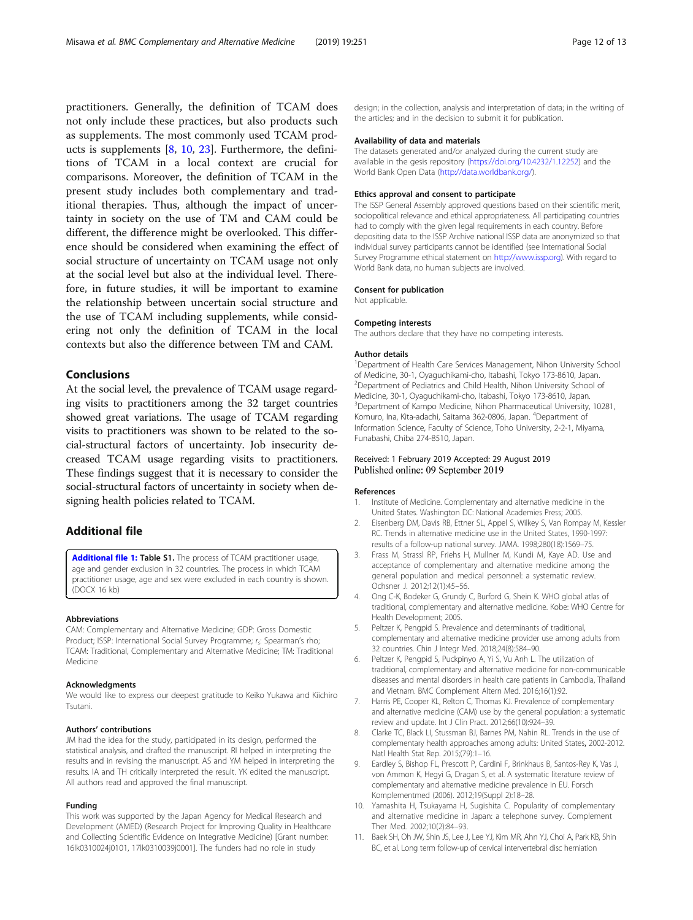<span id="page-11-0"></span>practitioners. Generally, the definition of TCAM does not only include these practices, but also products such as supplements. The most commonly used TCAM products is supplements [8, 10, [23\]](#page-12-0). Furthermore, the definitions of TCAM in a local context are crucial for comparisons. Moreover, the definition of TCAM in the present study includes both complementary and traditional therapies. Thus, although the impact of uncertainty in society on the use of TM and CAM could be different, the difference might be overlooked. This difference should be considered when examining the effect of social structure of uncertainty on TCAM usage not only at the social level but also at the individual level. Therefore, in future studies, it will be important to examine the relationship between uncertain social structure and the use of TCAM including supplements, while considering not only the definition of TCAM in the local contexts but also the difference between TM and CAM.

## Conclusions

At the social level, the prevalence of TCAM usage regarding visits to practitioners among the 32 target countries showed great variations. The usage of TCAM regarding visits to practitioners was shown to be related to the social-structural factors of uncertainty. Job insecurity decreased TCAM usage regarding visits to practitioners. These findings suggest that it is necessary to consider the social-structural factors of uncertainty in society when designing health policies related to TCAM.

## Additional file

[Additional file 1:](https://doi.org/10.1186/s12906-019-2662-x) Table S1. The process of TCAM practitioner usage, age and gender exclusion in 32 countries. The process in which TCAM practitioner usage, age and sex were excluded in each country is shown. (DOCX 16 kb)

#### Abbreviations

CAM: Complementary and Alternative Medicine; GDP: Gross Domestic Product; ISSP: International Social Survey Programme; r<sub>s</sub>: Spearman's rho; TCAM: Traditional, Complementary and Alternative Medicine; TM: Traditional Medicine

#### Acknowledgments

We would like to express our deepest gratitude to Keiko Yukawa and Kiichiro Tsutani.

#### Authors' contributions

JM had the idea for the study, participated in its design, performed the statistical analysis, and drafted the manuscript. RI helped in interpreting the results and in revising the manuscript. AS and YM helped in interpreting the results. IA and TH critically interpreted the result. YK edited the manuscript. All authors read and approved the final manuscript.

#### Funding

This work was supported by the Japan Agency for Medical Research and Development (AMED) (Research Project for Improving Quality in Healthcare and Collecting Scientific Evidence on Integrative Medicine) [Grant number: 16lk0310024j0101, 17lk0310039j0001]. The funders had no role in study

design; in the collection, analysis and interpretation of data; in the writing of the articles; and in the decision to submit it for publication.

#### Availability of data and materials

The datasets generated and/or analyzed during the current study are available in the gesis repository (<https://doi.org/10.4232/1.12252>) and the World Bank Open Data [\(http://data.worldbank.org/](http://data.worldbank.org/)).

#### Ethics approval and consent to participate

The ISSP General Assembly approved questions based on their scientific merit, sociopolitical relevance and ethical appropriateness. All participating countries had to comply with the given legal requirements in each country. Before depositing data to the ISSP Archive national ISSP data are anonymized so that individual survey participants cannot be identified (see International Social Survey Programme ethical statement on <http://www.issp.org>). With regard to World Bank data, no human subjects are involved.

#### Consent for publication

Not applicable.

#### Competing interests

The authors declare that they have no competing interests.

#### Author details

<sup>1</sup>Department of Health Care Services Management, Nihon University School of Medicine, 30-1, Oyaguchikami-cho, Itabashi, Tokyo 173-8610, Japan. 2 Department of Pediatrics and Child Health, Nihon University School of Medicine, 30-1, Oyaguchikami-cho, Itabashi, Tokyo 173-8610, Japan. <sup>3</sup>Department of Kampo Medicine, Nihon Pharmaceutical University, 10281, Komuro, Ina, Kita-adachi, Saitama 362-0806, Japan. <sup>4</sup> Department of Information Science, Faculty of Science, Toho University, 2-2-1, Miyama, Funabashi, Chiba 274-8510, Japan.

# Received: 1 February 2019 Accepted: 29 August 2019

#### References

- Institute of Medicine. Complementary and alternative medicine in the United States. Washington DC: National Academies Press; 2005.
- 2. Eisenberg DM, Davis RB, Ettner SL, Appel S, Wilkey S, Van Rompay M, Kessler RC. Trends in alternative medicine use in the United States, 1990-1997: results of a follow-up national survey. JAMA. 1998;280(18):1569–75.
- 3. Frass M, Strassl RP, Friehs H, Mullner M, Kundi M, Kaye AD. Use and acceptance of complementary and alternative medicine among the general population and medical personnel: a systematic review. Ochsner J. 2012;12(1):45–56.
- 4. Ong C-K, Bodeker G, Grundy C, Burford G, Shein K. WHO global atlas of traditional, complementary and alternative medicine. Kobe: WHO Centre for Health Development; 2005.
- 5. Peltzer K, Pengpid S. Prevalence and determinants of traditional, complementary and alternative medicine provider use among adults from 32 countries. Chin J Integr Med. 2018;24(8):584–90.
- 6. Peltzer K, Pengpid S, Puckpinyo A, Yi S, Vu Anh L. The utilization of traditional, complementary and alternative medicine for non-communicable diseases and mental disorders in health care patients in Cambodia, Thailand and Vietnam. BMC Complement Altern Med. 2016;16(1):92.
- 7. Harris PE, Cooper KL, Relton C, Thomas KJ. Prevalence of complementary and alternative medicine (CAM) use by the general population: a systematic review and update. Int J Clin Pract. 2012;66(10):924–39.
- 8. Clarke TC, Black LI, Stussman BJ, Barnes PM, Nahin RL. Trends in the use of complementary health approaches among adults: United States, 2002-2012. Natl Health Stat Rep. 2015;(79):1–16.
- 9. Eardley S, Bishop FL, Prescott P, Cardini F, Brinkhaus B, Santos-Rey K, Vas J, von Ammon K, Hegyi G, Dragan S, et al. A systematic literature review of complementary and alternative medicine prevalence in EU. Forsch Komplementmed (2006). 2012;19(Suppl 2):18–28.
- 10. Yamashita H, Tsukayama H, Sugishita C. Popularity of complementary and alternative medicine in Japan: a telephone survey. Complement Ther Med. 2002;10(2):84–93.
- 11. Baek SH, Oh JW, Shin JS, Lee J, Lee YJ, Kim MR, Ahn YJ, Choi A, Park KB, Shin BC, et al. Long term follow-up of cervical intervertebral disc herniation